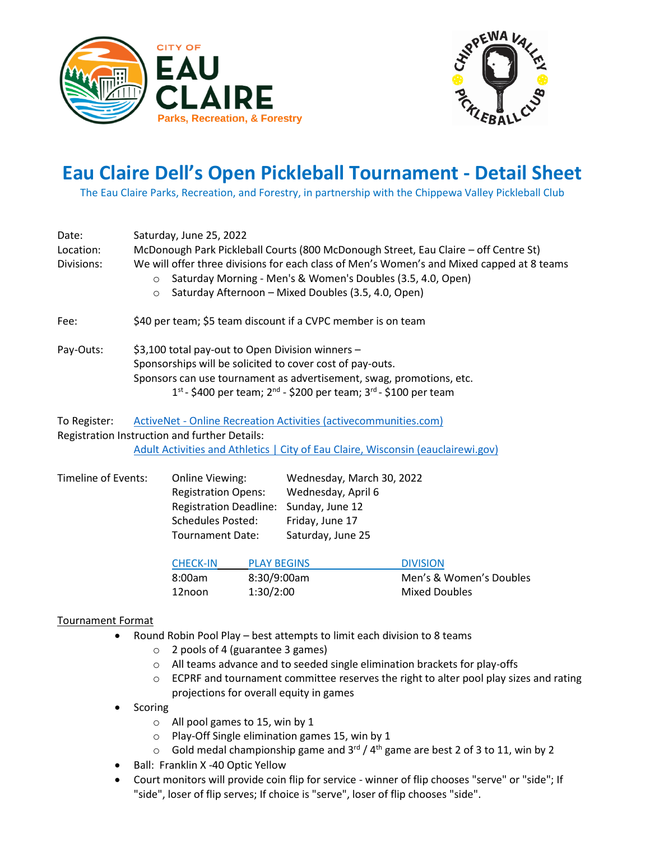



## **Eau Claire Dell's Open Pickleball Tournament - Detail Sheet**

The Eau Claire Parks, Recreation, and Forestry, in partnership with the Chippewa Valley Pickleball Club

| Date:<br>Location:<br>Divisions: | Saturday, June 25, 2022<br>McDonough Park Pickleball Courts (800 McDonough Street, Eau Claire – off Centre St)<br>We will offer three divisions for each class of Men's Women's and Mixed capped at 8 teams<br>Saturday Morning - Men's & Women's Doubles (3.5, 4.0, Open)<br>$\circ$<br>Saturday Afternoon - Mixed Doubles (3.5, 4.0, Open)<br>$\circ$ |  |  |
|----------------------------------|---------------------------------------------------------------------------------------------------------------------------------------------------------------------------------------------------------------------------------------------------------------------------------------------------------------------------------------------------------|--|--|
| Fee:                             | \$40 per team; \$5 team discount if a CVPC member is on team                                                                                                                                                                                                                                                                                            |  |  |
| Pay-Outs:                        | \$3,100 total pay-out to Open Division winners -<br>Sponsorships will be solicited to cover cost of pay-outs.<br>Sponsors can use tournament as advertisement, swag, promotions, etc.<br>$1^{st}$ - \$400 per team; $2^{nd}$ - \$200 per team; $3^{rd}$ - \$100 per team                                                                                |  |  |
| To Register:                     | ActiveNet - Online Recreation Activities (activecommunities.com)<br>Registration Instruction and further Details:                                                                                                                                                                                                                                       |  |  |

[Adult Activities and Athletics | City of Eau Claire, Wisconsin \(eauclairewi.gov\)](https://www.eauclairewi.gov/recreation/recreation/adult-activities-and-athletics)

| Timeline of Events: | <b>Online Viewing:</b>                 | Wednesday, March 30, 2022 |
|---------------------|----------------------------------------|---------------------------|
|                     | <b>Registration Opens:</b>             | Wednesday, April 6        |
|                     | Registration Deadline: Sunday, June 12 |                           |
|                     | <b>Schedules Posted:</b>               | Friday, June 17           |
|                     | <b>Tournament Date:</b>                | Saturday, June 25         |
|                     |                                        |                           |

| <b>CHECK-IN</b> | <b>PLAY BEGINS</b> | <b>DIVISION</b>         |
|-----------------|--------------------|-------------------------|
| 8:00am          | 8:30/9:00am        | Men's & Women's Doubles |
| 12noon          | 1:30/2:00          | Mixed Doubles           |

## Tournament Format

- Round Robin Pool Play best attempts to limit each division to 8 teams
	- o 2 pools of 4 (guarantee 3 games)
	- o All teams advance and to seeded single elimination brackets for play-offs
	- $\circ$  ECPRF and tournament committee reserves the right to alter pool play sizes and rating projections for overall equity in games
- **Scoring** 
	- o All pool games to 15, win by 1
	- o Play-Off Single elimination games 15, win by 1
	- $\circ$  Gold medal championship game and 3<sup>rd</sup> / 4<sup>th</sup> game are best 2 of 3 to 11, win by 2
- Ball: Franklin X -40 Optic Yellow
- Court monitors will provide coin flip for service winner of flip chooses "serve" or "side"; If "side", loser of flip serves; If choice is "serve", loser of flip chooses "side".